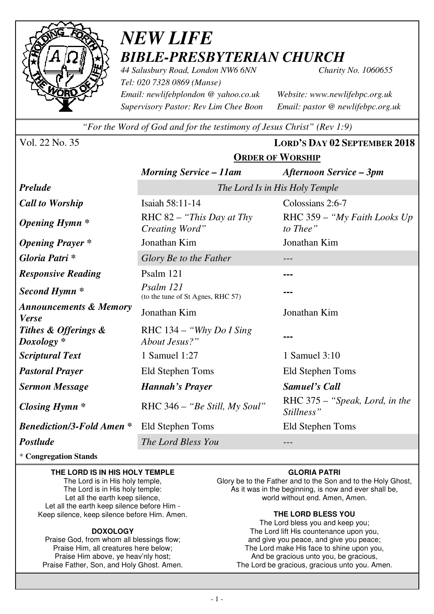

# *NEW LIFE BIBLE-PRESBYTERIAN CHURCH*

*44 Salusbury Road, London NW6 6NN Charity No. 1060655 Tel: 020 7328 0869 (Manse) Email: newlifebplondon @ yahoo.co.uk Website: www.newlifebpc.org.uk Supervisory Pastor: Rev Lim Chee Boon Email: pastor @ newlifebpc.org.uk* 

*"For the Word of God and for the testimony of Jesus Christ" (Rev 1:9)*

**ORDER OF WORSHIP**

Vol. 22 No. 35 **LORD'S DAY 02 SEPTEMBER 2018**

|                                                   | <b>Morning Service – 11am</b>                  | <b>Afternoon Service – 3pm</b>               |  |  |  |
|---------------------------------------------------|------------------------------------------------|----------------------------------------------|--|--|--|
| <b>Prelude</b>                                    | The Lord Is in His Holy Temple                 |                                              |  |  |  |
| <b>Call to Worship</b>                            | Isaiah 58:11-14                                | Colossians 2:6-7                             |  |  |  |
| <b>Opening Hymn</b> *                             | RHC 82 - "This Day at Thy<br>Creating Word"    | RHC 359 – "My Faith Looks Up<br>to Thee"     |  |  |  |
| <b>Opening Prayer</b> *                           | Jonathan Kim                                   | Jonathan Kim                                 |  |  |  |
| Gloria Patri *                                    | Glory Be to the Father                         |                                              |  |  |  |
| <b>Responsive Reading</b>                         | Psalm 121                                      |                                              |  |  |  |
| Second Hymn <sup>*</sup>                          | Psalm 121<br>(to the tune of St Agnes, RHC 57) | ---                                          |  |  |  |
| <b>Announcements &amp; Memory</b><br><b>Verse</b> | Jonathan Kim                                   | Jonathan Kim                                 |  |  |  |
| Tithes & Offerings &<br>$Doxology *$              | RHC $134 - "Why Do I Sing$<br>About Jesus?"    | ---                                          |  |  |  |
| <b>Scriptural Text</b>                            | 1 Samuel 1:27                                  | 1 Samuel 3:10                                |  |  |  |
| <b>Pastoral Prayer</b>                            | Eld Stephen Toms                               | Eld Stephen Toms                             |  |  |  |
| <b>Sermon Message</b>                             | Hannah's Prayer                                | <b>Samuel's Call</b>                         |  |  |  |
| <b>Closing Hymn</b> *                             | RHC 346 – "Be Still, My Soul"                  | RHC 375 - "Speak, Lord, in the<br>Stillness" |  |  |  |
| <b>Benediction/3-Fold Amen *</b>                  | Eld Stephen Toms                               | Eld Stephen Toms                             |  |  |  |
| Postlude                                          | The Lord Bless You                             |                                              |  |  |  |

\* **Congregation Stands** 

### **THE LORD IS IN HIS HOLY TEMPLE**

The Lord is in His holy temple, The Lord is in His holy temple: Let all the earth keep silence, Let all the earth keep silence before Him - Keep silence, keep silence before Him. Amen.

### **DOXOLOGY**

Praise God, from whom all blessings flow; Praise Him, all creatures here below; Praise Him above, ye heav'nly host; Praise Father, Son, and Holy Ghost. Amen.

### **GLORIA PATRI**

Glory be to the Father and to the Son and to the Holy Ghost, As it was in the beginning, is now and ever shall be, world without end. Amen, Amen.

### **THE LORD BLESS YOU**

The Lord bless you and keep you; The Lord lift His countenance upon you, and give you peace, and give you peace; The Lord make His face to shine upon you, And be gracious unto you, be gracious, The Lord be gracious, gracious unto you. Amen.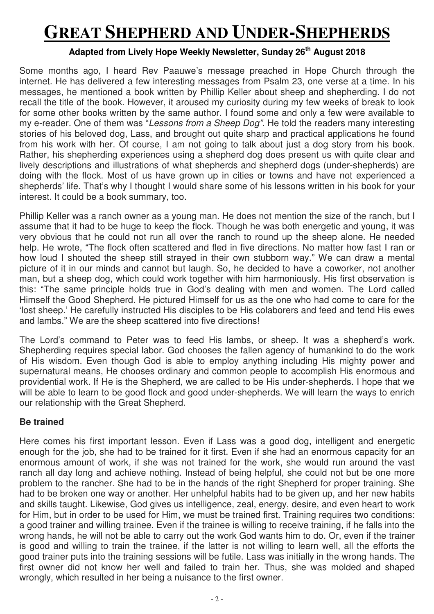# **GREAT SHEPHERD AND UNDER-SHEPHERDS**

## **Adapted from Lively Hope Weekly Newsletter, Sunday 26th August 2018**

Some months ago, I heard Rev Paauwe's message preached in Hope Church through the internet. He has delivered a few interesting messages from Psalm 23, one verse at a time. In his messages, he mentioned a book written by Phillip Keller about sheep and shepherding. I do not recall the title of the book. However, it aroused my curiosity during my few weeks of break to look for some other books written by the same author. I found some and only a few were available to my e-reader. One of them was "Lessons from a Sheep Dog". He told the readers many interesting stories of his beloved dog, Lass, and brought out quite sharp and practical applications he found from his work with her. Of course, I am not going to talk about just a dog story from his book. Rather, his shepherding experiences using a shepherd dog does present us with quite clear and lively descriptions and illustrations of what shepherds and shepherd dogs (under-shepherds) are doing with the flock. Most of us have grown up in cities or towns and have not experienced a shepherds' life. That's why I thought I would share some of his lessons written in his book for your interest. It could be a book summary, too.

Phillip Keller was a ranch owner as a young man. He does not mention the size of the ranch, but I assume that it had to be huge to keep the flock. Though he was both energetic and young, it was very obvious that he could not run all over the ranch to round up the sheep alone. He needed help. He wrote, "The flock often scattered and fled in five directions. No matter how fast I ran or how loud I shouted the sheep still strayed in their own stubborn way." We can draw a mental picture of it in our minds and cannot but laugh. So, he decided to have a coworker, not another man, but a sheep dog, which could work together with him harmoniously. His first observation is this: "The same principle holds true in God's dealing with men and women. The Lord called Himself the Good Shepherd. He pictured Himself for us as the one who had come to care for the 'lost sheep.' He carefully instructed His disciples to be His colaborers and feed and tend His ewes and lambs." We are the sheep scattered into five directions!

The Lord's command to Peter was to feed His lambs, or sheep. It was a shepherd's work. Shepherding requires special labor. God chooses the fallen agency of humankind to do the work of His wisdom. Even though God is able to employ anything including His mighty power and supernatural means, He chooses ordinary and common people to accomplish His enormous and providential work. If He is the Shepherd, we are called to be His under-shepherds. I hope that we will be able to learn to be good flock and good under-shepherds. We will learn the ways to enrich our relationship with the Great Shepherd.

## **Be trained**

Here comes his first important lesson. Even if Lass was a good dog, intelligent and energetic enough for the job, she had to be trained for it first. Even if she had an enormous capacity for an enormous amount of work, if she was not trained for the work, she would run around the vast ranch all day long and achieve nothing. Instead of being helpful, she could not but be one more problem to the rancher. She had to be in the hands of the right Shepherd for proper training. She had to be broken one way or another. Her unhelpful habits had to be given up, and her new habits and skills taught. Likewise, God gives us intelligence, zeal, energy, desire, and even heart to work for Him, but in order to be used for Him, we must be trained first. Training requires two conditions: a good trainer and willing trainee. Even if the trainee is willing to receive training, if he falls into the wrong hands, he will not be able to carry out the work God wants him to do. Or, even if the trainer is good and willing to train the trainee, if the latter is not willing to learn well, all the efforts the good trainer puts into the training sessions will be futile. Lass was initially in the wrong hands. The first owner did not know her well and failed to train her. Thus, she was molded and shaped wrongly, which resulted in her being a nuisance to the first owner.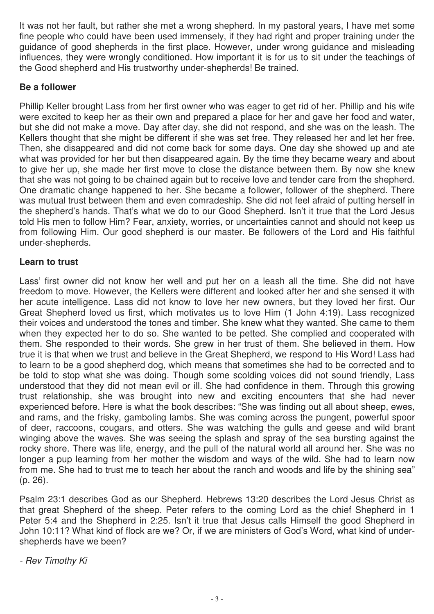It was not her fault, but rather she met a wrong shepherd. In my pastoral years, I have met some fine people who could have been used immensely, if they had right and proper training under the guidance of good shepherds in the first place. However, under wrong guidance and misleading influences, they were wrongly conditioned. How important it is for us to sit under the teachings of the Good shepherd and His trustworthy under-shepherds! Be trained.

## **Be a follower**

Phillip Keller brought Lass from her first owner who was eager to get rid of her. Phillip and his wife were excited to keep her as their own and prepared a place for her and gave her food and water, but she did not make a move. Day after day, she did not respond, and she was on the leash. The Kellers thought that she might be different if she was set free. They released her and let her free. Then, she disappeared and did not come back for some days. One day she showed up and ate what was provided for her but then disappeared again. By the time they became weary and about to give her up, she made her first move to close the distance between them. By now she knew that she was not going to be chained again but to receive love and tender care from the shepherd. One dramatic change happened to her. She became a follower, follower of the shepherd. There was mutual trust between them and even comradeship. She did not feel afraid of putting herself in the shepherd's hands. That's what we do to our Good Shepherd. Isn't it true that the Lord Jesus told His men to follow Him? Fear, anxiety, worries, or uncertainties cannot and should not keep us from following Him. Our good shepherd is our master. Be followers of the Lord and His faithful under-shepherds.

## **Learn to trust**

Lass' first owner did not know her well and put her on a leash all the time. She did not have freedom to move. However, the Kellers were different and looked after her and she sensed it with her acute intelligence. Lass did not know to love her new owners, but they loved her first. Our Great Shepherd loved us first, which motivates us to love Him (1 John 4:19). Lass recognized their voices and understood the tones and timber. She knew what they wanted. She came to them when they expected her to do so. She wanted to be petted. She complied and cooperated with them. She responded to their words. She grew in her trust of them. She believed in them. How true it is that when we trust and believe in the Great Shepherd, we respond to His Word! Lass had to learn to be a good shepherd dog, which means that sometimes she had to be corrected and to be told to stop what she was doing. Though some scolding voices did not sound friendly, Lass understood that they did not mean evil or ill. She had confidence in them. Through this growing trust relationship, she was brought into new and exciting encounters that she had never experienced before. Here is what the book describes: "She was finding out all about sheep, ewes, and rams, and the frisky, gamboling lambs. She was coming across the pungent, powerful spoor of deer, raccoons, cougars, and otters. She was watching the gulls and geese and wild brant winging above the waves. She was seeing the splash and spray of the sea bursting against the rocky shore. There was life, energy, and the pull of the natural world all around her. She was no longer a pup learning from her mother the wisdom and ways of the wild. She had to learn now from me. She had to trust me to teach her about the ranch and woods and life by the shining sea" (p. 26).

Psalm 23:1 describes God as our Shepherd. Hebrews 13:20 describes the Lord Jesus Christ as that great Shepherd of the sheep. Peter refers to the coming Lord as the chief Shepherd in 1 Peter 5:4 and the Shepherd in 2:25. Isn't it true that Jesus calls Himself the good Shepherd in John 10:11? What kind of flock are we? Or, if we are ministers of God's Word, what kind of undershepherds have we been?

- Rev Timothy Ki